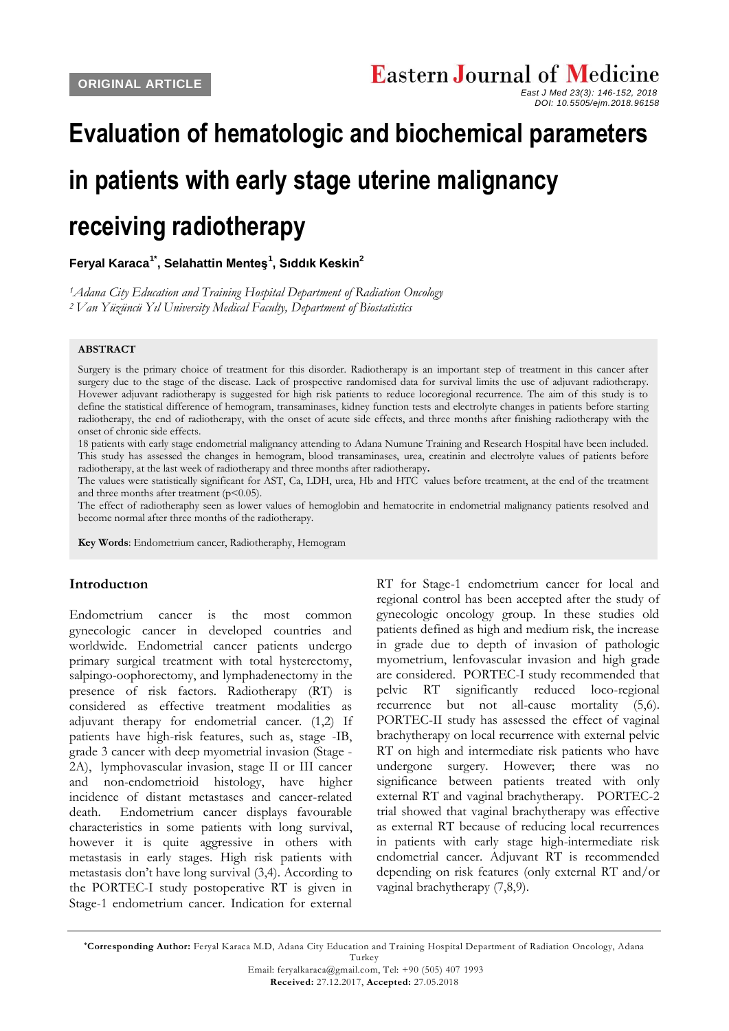# **Evaluation of hematologic and biochemical parameters**

# **in patients with early stage uterine malignancy**

# **receiving radiotherapy**

**[Feryal Karaca](javascript:sa()1\* , [Selahattin Menteş](javascript:sa()<sup>1</sup> , Sıddık Keskin<sup>2</sup>**

*<sup>1</sup>Adana City Education and Training Hospital Department of Radiation Oncology <sup>2</sup>Van Yüzüncü Yıl University Medical Faculty, Department of Biostatistics* 

#### **ABSTRACT**

Surgery is the primary choice of treatment for this disorder. Radiotherapy is an important step of treatment in this cancer after surgery due to the stage of the disease. Lack of prospective randomised data for survival limits the use of adjuvant radiotherapy. Hovewer adjuvant radiotherapy is suggested for high risk patients to reduce locoregional recurrence. The aim of this study is to define the statistical difference of hemogram, transaminases, kidney function tests and electrolyte changes in patients before starting radiotherapy, the end of radiotherapy, with the onset of acute side effects, and three months after finishing radiotherapy with the onset of chronic side effects.

18 patients with early stage endometrial malignancy attending to Adana Numune Training and Research Hospital have been included. This study has assessed the changes in hemogram, blood transaminases, urea, creatinin and electrolyte values of patients before radiotherapy, at the last week of radiotherapy and three months after radiotherapy**.**

The values were statistically significant for AST, Ca, LDH, urea, Hb and HTC values before treatment, at the end of the treatment and three months after treatment ( $p$ <0.05).

The effect of radiotheraphy seen as lower values of hemoglobin and hematocrite in endometrial malignancy patients resolved and become normal after three months of the radiotherapy.

**Key Words**: Endometrium cancer, Radiotheraphy, Hemogram

#### **Introductıon**

Endometrium cancer is the most common gynecologic cancer in developed countries and worldwide. Endometrial cancer patients undergo primary surgical treatment with total hysterectomy, salpingo-oophorectomy, and lymphadenectomy in the presence of risk factors. Radiotherapy (RT) is considered as effective treatment modalities as adjuvant therapy for endometrial cancer. (1,2) If patients have high-risk features, such as, stage -IB, grade 3 cancer with deep myometrial invasion (Stage - 2A), lymphovascular invasion, stage II or III cancer and non-endometrioid histology, have higher incidence of distant metastases and cancer-related death. Endometrium cancer displays favourable characteristics in some patients with long survival, however it is quite aggressive in others with metastasis in early stages. High risk patients with metastasis don't have long survival (3,4). According to the PORTEC-I study postoperative RT is given in Stage-1 endometrium cancer. Indication for external

RT for Stage-1 endometrium cancer for local and regional control has been accepted after the study of gynecologic oncology group. In these studies old patients defined as high and medium risk, the increase in grade due to depth of invasion of pathologic myometrium, lenfovascular invasion and high grade are considered. PORTEC-I study recommended that pelvic RT significantly reduced loco-regional recurrence but not all-cause mortality (5,6). PORTEC-II study has assessed the effect of vaginal brachytherapy on local recurrence with external pelvic RT on high and intermediate risk patients who have undergone surgery. However; there was no significance between patients treated with only external RT and vaginal brachytherapy. PORTEC-2 trial showed that vaginal brachytherapy was effective as external RT because of reducing local recurrences in patients with early stage high-intermediate risk endometrial cancer. Adjuvant RT is recommended depending on risk features (only external RT and/or vaginal brachytherapy (7,8,9).

Email: feryalkaraca@gmail.com, Tel: +90 (505) 407 1993

*East J Med 23(3): 146-152, 2018 DOI: 10.5505/ejm.2018.96158*

**<sup>\*</sup>Corresponding Author:** Feryal Karaca M.D, Adana City Education and Training Hospital Department of Radiation Oncology, Adana Turkey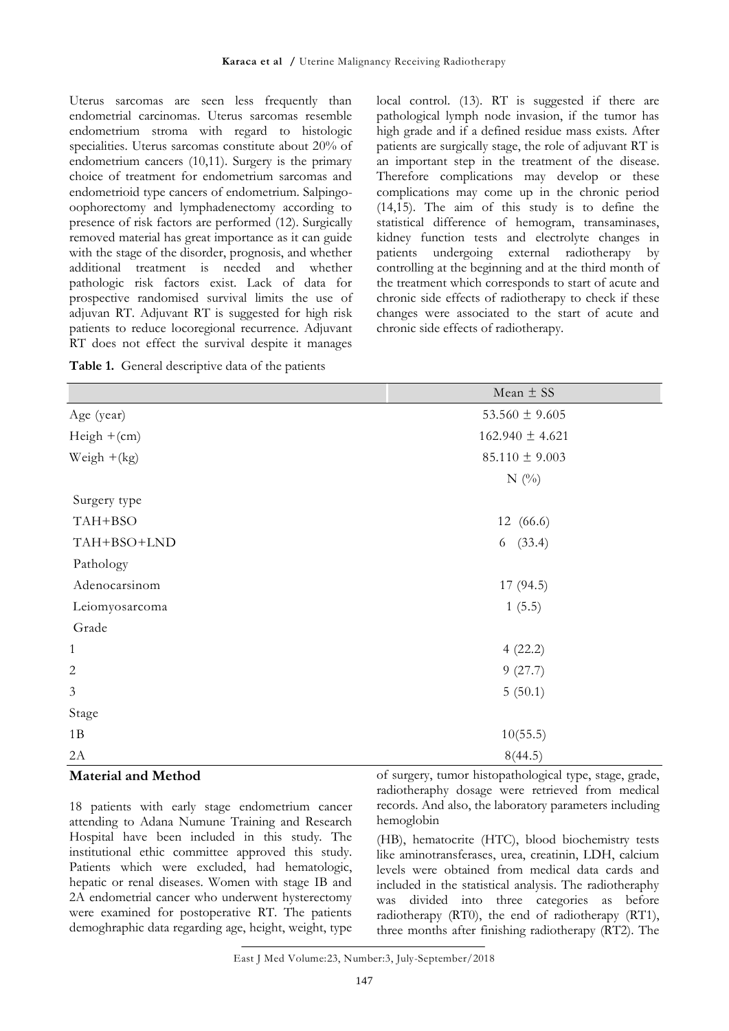Uterus sarcomas are seen less frequently than endometrial carcinomas. Uterus sarcomas resemble endometrium stroma with regard to histologic specialities. Uterus sarcomas constitute about 20% of endometrium cancers (10,11). Surgery is the primary choice of treatment for endometrium sarcomas and endometrioid type cancers of endometrium. Salpingooophorectomy and lymphadenectomy according to presence of risk factors are performed (12). Surgically removed material has great importance as it can guide with the stage of the disorder, prognosis, and whether additional treatment is needed and whether pathologic risk factors exist. Lack of data for prospective randomised survival limits the use of adjuvan RT. Adjuvant RT is suggested for high risk patients to reduce locoregional recurrence. Adjuvant RT does not effect the survival despite it manages

local control. (13). RT is suggested if there are pathological lymph node invasion, if the tumor has high grade and if a defined residue mass exists. After patients are surgically stage, the role of adjuvant RT is an important step in the treatment of the disease. Therefore complications may develop or these complications may come up in the chronic period (14,15). The aim of this study is to define the statistical difference of hemogram, transaminases, kidney function tests and electrolyte changes in patients undergoing external radiotherapy by controlling at the beginning and at the third month of the treatment which corresponds to start of acute and chronic side effects of radiotherapy to check if these changes were associated to the start of acute and chronic side effects of radiotherapy.

**Table 1.** General descriptive data of the patients

|                                                             | Mean $\pm$ SS                                           |
|-------------------------------------------------------------|---------------------------------------------------------|
| Age (year)                                                  | 53.560 $\pm$ 9.605                                      |
| $Height + (cm)$                                             | $162.940 \pm 4.621$                                     |
| Weigh $+(kg)$                                               | $85.110 \pm 9.003$                                      |
|                                                             | $N$ (%)                                                 |
| Surgery type                                                |                                                         |
| TAH+BSO                                                     | 12 (66.6)                                               |
| TAH+BSO+LND                                                 | 6(33.4)                                                 |
| Pathology                                                   |                                                         |
| Adenocarsinom                                               | 17(94.5)                                                |
| Leiomyosarcoma                                              | 1(5.5)                                                  |
| Grade                                                       |                                                         |
| $\mathbf{1}$                                                | 4(22.2)                                                 |
| $\overline{2}$                                              | 9(27.7)                                                 |
| $\mathfrak{Z}$                                              | 5(50.1)                                                 |
| Stage                                                       |                                                         |
| 1B                                                          | 10(55.5)                                                |
| 2A                                                          | 8(44.5)                                                 |
| $\sim$<br>$\mathbf{r}$ . The set of the set of $\mathbf{r}$ | $1.5 - 1.5 - 1.5 - 1.5 - 1.5$<br>$\sim$<br>$\mathbf{1}$ |

## **Material and Method**

18 patients with early stage endometrium cancer attending to Adana Numune Training and Research Hospital have been included in this study. The institutional ethic committee approved this study. Patients which were excluded, had hematologic, hepatic or renal diseases. Women with stage IB and 2A endometrial cancer who underwent hysterectomy were examined for postoperative RT. The patients demoghraphic data regarding age, height, weight, type

of surgery, tumor histopathological type, stage, grade, radiotheraphy dosage were retrieved from medical records. And also, the laboratory parameters including hemoglobin

(HB), hematocrite (HTC), blood biochemistry tests like aminotransferases, urea, creatinin, LDH, calcium levels were obtained from medical data cards and included in the statistical analysis. The radiotheraphy was divided into three categories as before radiotherapy (RT0), the end of radiotherapy (RT1), three months after finishing radiotherapy (RT2). The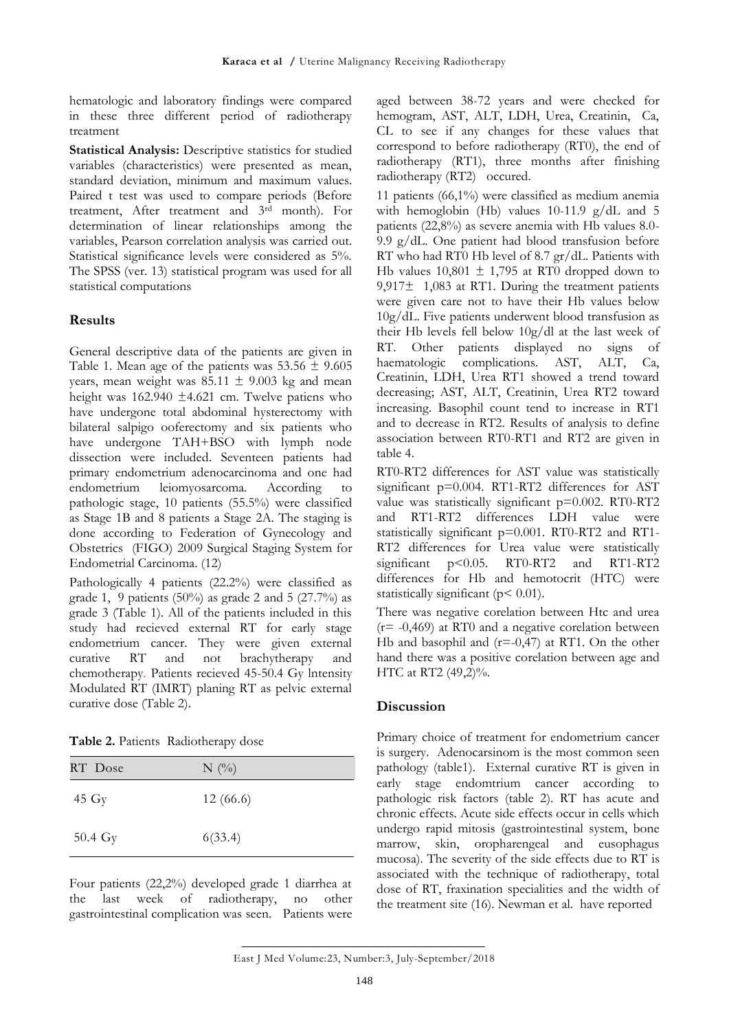hematologic and laboratory findings were compared in these three different period of radiotherapy treatment

**Statistical Analysis:** Descriptive statistics for studied variables (characteristics) were presented as mean, standard deviation, minimum and maximum values. Paired t test was used to compare periods (Before treatment, After treatment and 3rd month). For determination of linear relationships among the variables, Pearson correlation analysis was carried out. Statistical significance levels were considered as 5%. The SPSS (ver. 13) statistical program was used for all statistical computations

## **Results**

General descriptive data of the patients are given in Table 1. Mean age of the patients was  $53.56 \pm 9.605$ years, mean weight was  $85.11 \pm 9.003$  kg and mean height was 162.940  $\pm$ 4.621 cm. Twelve patiens who have undergone total abdominal hysterectomy with bilateral salpigo ooferectomy and six patients who have undergone TAH+BSO with lymph node dissection were included. Seventeen patients had primary endometrium adenocarcinoma and one had endometrium leiomyosarcoma. According to pathologic stage, 10 patients (55.5%) were classified as Stage 1B and 8 patients a Stage 2A. The staging is done according to Federation of Gynecology and Obstetrics (FIGO) 2009 Surgical Staging System for Endometrial Carcinoma. (12)

Pathologically 4 patients (22.2%) were classified as grade 1, 9 patients  $(50\%)$  as grade 2 and 5  $(27.7\%)$  as grade 3 (Table 1). All of the patients included in this study had recieved external RT for early stage endometrium cancer. They were given external curative RT and not brachytherapy and chemotherapy. Patients recieved 45-50.4 Gy lntensity Modulated RT (IMRT) planing RT as pelvic external curative dose (Table 2).

**Table 2.** Patients Radiotherapy dose

| RT Dose            | $N(\%)$  |
|--------------------|----------|
| $45 \,\mathrm{Gy}$ | 12(66.6) |
| 50.4 Gy            | 6(33.4)  |

Four patients (22,2%) developed grade 1 diarrhea at the last week of radiotherapy, no other gastrointestinal complication was seen. Patients were aged between 38-72 years and were checked for hemogram, AST, ALT, LDH, Urea, Creatinin, Ca, CL to see if any changes for these values that correspond to before radiotherapy (RT0), the end of radiotherapy (RT1), three months after finishing radiotherapy (RT2) occured.

11 patients (66,1%) were classified as medium anemia with hemoglobin (Hb) values 10-11.9 g/dL and 5 patients (22,8%) as severe anemia with Hb values 8.0- 9.9 g/dL. One patient had blood transfusion before RT who had RT0 Hb level of 8.7 gr/dL. Patients with Hb values  $10,801 \pm 1,795$  at RT0 dropped down to 9,917<sup>±</sup> 1,083 at RT1. During the treatment patients were given care not to have their Hb values below 10g/dL. Five patients underwent blood transfusion as their Hb levels fell below 10g/dl at the last week of RT. Other patients displayed no signs of haematologic complications. AST, ALT, Ca, Creatinin, LDH, Urea RT1 showed a trend toward decreasing; AST, ALT, Creatinin, Urea RT2 toward increasing. Basophil count tend to increase in RT1 and to decrease in RT2. Results of analysis to define association between RT0-RT1 and RT2 are given in table 4.

RT0-RT2 differences for AST value was statistically significant p=0.004. RT1-RT2 differences for AST value was statistically significant p=0.002. RT0-RT2 and RT1-RT2 differences LDH value were statistically significant p=0.001. RT0-RT2 and RT1- RT2 differences for Urea value were statistically significant p<0.05. RT0-RT2 and RT1-RT2 differences for Hb and hemotocrit (HTC) were statistically significant ( $p$  < 0.01).

There was negative corelation between Htc and urea (r= -0,469) at RT0 and a negative corelation between Hb and basophil and  $(r=0,47)$  at RT1. On the other hand there was a positive corelation between age and HTC at RT2 (49,2)%.

## **Discussion**

Primary choice of treatment for endometrium cancer is surgery. Adenocarsinom is the most common seen pathology (table1). External curative RT is given in early stage endomtrium cancer according to pathologic risk factors (table 2). RT has acute and chronic effects. Acute side effects occur in cells which undergo rapid mitosis (gastrointestinal system, bone marrow, skin, oropharengeal and eusophagus mucosa). The severity of the side effects due to RT is associated with the technique of radiotherapy, total dose of RT, fraxination specialities and the width of the treatment site (16). Newman et al. have reported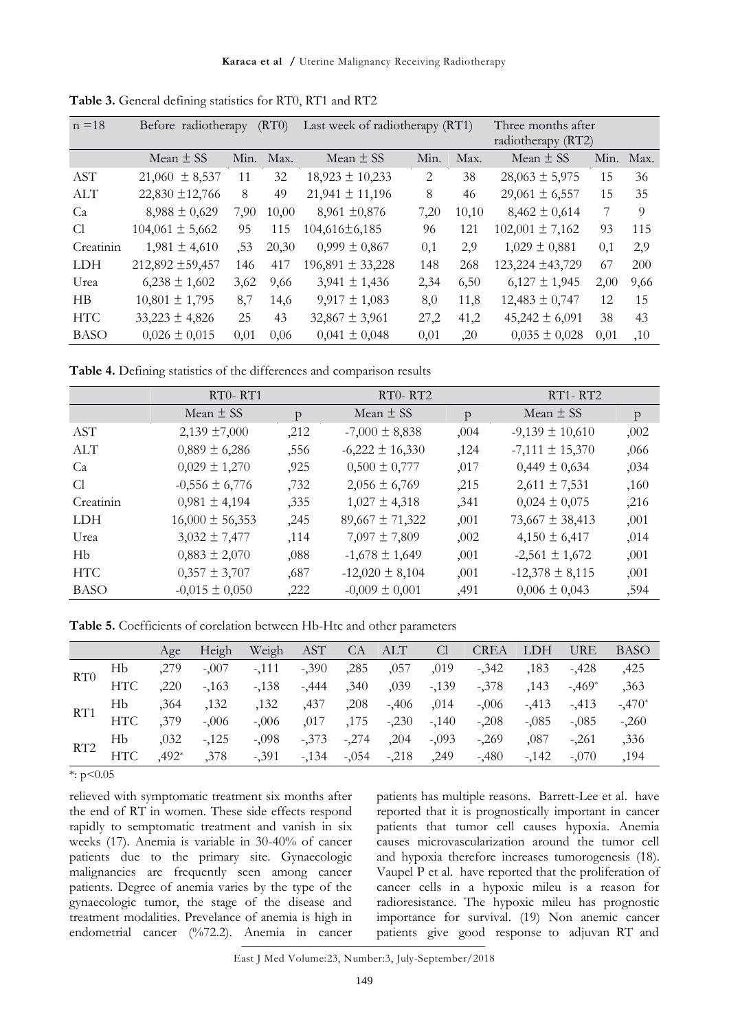| $n = 18$       | Before radiotherapy | (RT0) |       | Last week of radiotherapy (RT1) |      |       | Three months after<br>radiotherapy (RT2) |      |      |
|----------------|---------------------|-------|-------|---------------------------------|------|-------|------------------------------------------|------|------|
|                | Mean $\pm$ SS       | Min.  | Max.  | Mean $\pm$ SS                   | Min. | Max.  | Mean $\pm$ SS                            | Min. | Max. |
| <b>AST</b>     | $21,060 \pm 8,537$  | 11    | 32    | $18,923 \pm 10,233$             | 2    | 38    | $28,063 \pm 5,975$                       | 15   | 36   |
| <b>ALT</b>     | 22,830 ±12,766      | 8     | 49    | $21,941 \pm 11,196$             | 8    | 46    | $29,061 \pm 6,557$                       | 15   | 35   |
| Ca             | $8,988 \pm 0,629$   | 7,90  | 10,00 | $8,961 \pm 0,876$               | 7,20 | 10,10 | $8,462 \pm 0,614$                        | 7    | 9    |
| C <sub>1</sub> | $104,061 \pm 5,662$ | 95    | 115   | $104,616\pm6,185$               | 96   | 121   | $102,001 \pm 7,162$                      | 93   | 115  |
| Creatinin      | $1,981 \pm 4,610$   | ,53   | 20,30 | $0,999 \pm 0,867$               | 0,1  | 2,9   | $1,029 \pm 0,881$                        | 0,1  | 2,9  |
| <b>LDH</b>     | 212,892 ±59,457     | 146   | 417   | $196,891 \pm 33,228$            | 148  | 268   | 123,224 ±43,729                          | 67   | 200  |
| Urea           | $6,238 \pm 1,602$   | 3,62  | 9,66  | $3,941 \pm 1,436$               | 2,34 | 6,50  | $6,127 \pm 1,945$                        | 2,00 | 9,66 |
| H B            | $10,801 \pm 1,795$  | 8,7   | 14,6  | $9,917 \pm 1,083$               | 8,0  | 11,8  | $12,483 \pm 0,747$                       | 12   | 15   |
| <b>HTC</b>     | $33,223 \pm 4,826$  | 25    | 43    | $32,867 \pm 3,961$              | 27,2 | 41,2  | $45,242 \pm 6,091$                       | 38   | 43   |
| <b>BASO</b>    | $0,026 \pm 0,015$   | 0,01  | 0,06  | $0,041 \pm 0,048$               | 0,01 | ,20   | $0,035 \pm 0,028$                        | 0,01 | ,10  |

**Table 3.** General defining statistics for RT0, RT1 and RT2

**Table 4.** Defining statistics of the differences and comparison results

|                | $RT0-RT1$           |      | RT <sub>0</sub> -RT <sub>2</sub> |      | $RT1 - RT2$         |      |  |
|----------------|---------------------|------|----------------------------------|------|---------------------|------|--|
|                | Mean $\pm$ SS       | n    | Mean $\pm$ SS                    | D    | Mean $\pm$ SS       | p    |  |
| AST            | $2,139 \pm 7,000$   | ,212 | $-7,000 \pm 8,838$               | ,004 | $-9,139 \pm 10,610$ | ,002 |  |
| ALT            | $0,889 \pm 6,286$   | ,556 | $-6,222 \pm 16,330$              | ,124 | $-7,111 \pm 15,370$ | ,066 |  |
| Ca             | $0,029 \pm 1,270$   | ,925 | $0,500 \pm 0,777$                | ,017 | $0,449 \pm 0,634$   | ,034 |  |
| C <sub>1</sub> | $-0,556 \pm 6,776$  | ,732 | $2,056 \pm 6,769$                | ,215 | $2,611 \pm 7,531$   | ,160 |  |
| Creatinin      | $0,981 \pm 4,194$   | ,335 | $1,027 \pm 4,318$                | ,341 | $0,024 \pm 0,075$   | ,216 |  |
| <b>LDH</b>     | $16,000 \pm 56,353$ | ,245 | $89,667 \pm 71,322$              | ,001 | $73,667 \pm 38,413$ | ,001 |  |
| Urea           | $3,032 \pm 7,477$   | ,114 | $7,097 \pm 7,809$                | ,002 | $4,150 \pm 6,417$   | ,014 |  |
| Hb             | $0,883 \pm 2,070$   | ,088 | $-1,678 \pm 1,649$               | ,001 | $-2,561 \pm 1,672$  | ,001 |  |
| <b>HTC</b>     | $0,357 \pm 3,707$   | ,687 | $-12,020 \pm 8,104$              | ,001 | $-12,378 \pm 8,115$ | ,001 |  |
| <b>BASO</b>    | $-0,015 \pm 0,050$  | ,222 | $-0,009 \pm 0,001$               | ,491 | $0,006 \pm 0,043$   | ,594 |  |

**Table 5.** Coefficients of corelation between Hb-Htc and other parameters

|                             |                | Age     | Heigh    | Weigh AST CA ALT |        |         |                 | $\overline{C}$ $C1$ | <b>CREA</b> | LDH     | <b>URE</b> | <b>BASO</b> |
|-----------------------------|----------------|---------|----------|------------------|--------|---------|-----------------|---------------------|-------------|---------|------------|-------------|
| R <sub>T</sub> <sub>0</sub> | Нb             | ,279    | $-0.007$ | $-111$           | $-390$ | ,285    | ,057            | ,019                | $-342$      | .183    | $-428$     | ,425        |
|                             | <b>HTC</b>     | ,220    | $-163$   | $-138$           | $-444$ | ,340    | ,039            | $-139$              | $-378$      | .143    | $-0.469*$  | ,363        |
| RT1                         | Hb.            | ,364    | ,132     | ,132             | ,437   | ,208    | $-3,406$        | ,014                | $-0.006$    | $-413$  | $-413$     | $-470*$     |
|                             | HTC            | ,379    | $-.006$  | $-0.006$         | ,017   | ,175    | $-230$          | $-140$              | $-208$      | $-.085$ | $-.085$    | $-260$      |
| RT2                         | H <sub>b</sub> | ,032    | $-125$   | $-0.098$         | $-373$ | $-.274$ | ,204            | $-0.093$            | $-269$      | ,087    | $-.261$    | ,336        |
|                             | <b>HTC</b>     | $.492*$ | ,378     | $-391$           | $-134$ |         | $-0.54 - 0.218$ | ,249                | $-480$      | $-142$  | $-.070$    | ,194        |

\*:  $p < 0.05$ 

relieved with symptomatic treatment six months after the end of RT in women. These side effects respond rapidly to semptomatic treatment and vanish in six weeks (17). Anemia is variable in 30-40% of cancer patients due to the primary site. Gynaecologic malignancies are frequently seen among cancer patients. Degree of anemia varies by the type of the gynaecologic tumor, the stage of the disease and treatment modalities. Prevelance of anemia is high in endometrial cancer (%72.2). Anemia in cancer

patients has multiple reasons. Barrett-Lee et al. have reported that it is prognostically important in cancer patients that tumor cell causes hypoxia. Anemia causes microvascularization around the tumor cell and hypoxia therefore increases tumorogenesis (18). Vaupel P et al. have reported that the proliferation of cancer cells in a hypoxic mileu is a reason for radioresistance. The hypoxic mileu has prognostic importance for survival. (19) Non anemic cancer patients give good response to adjuvan RT and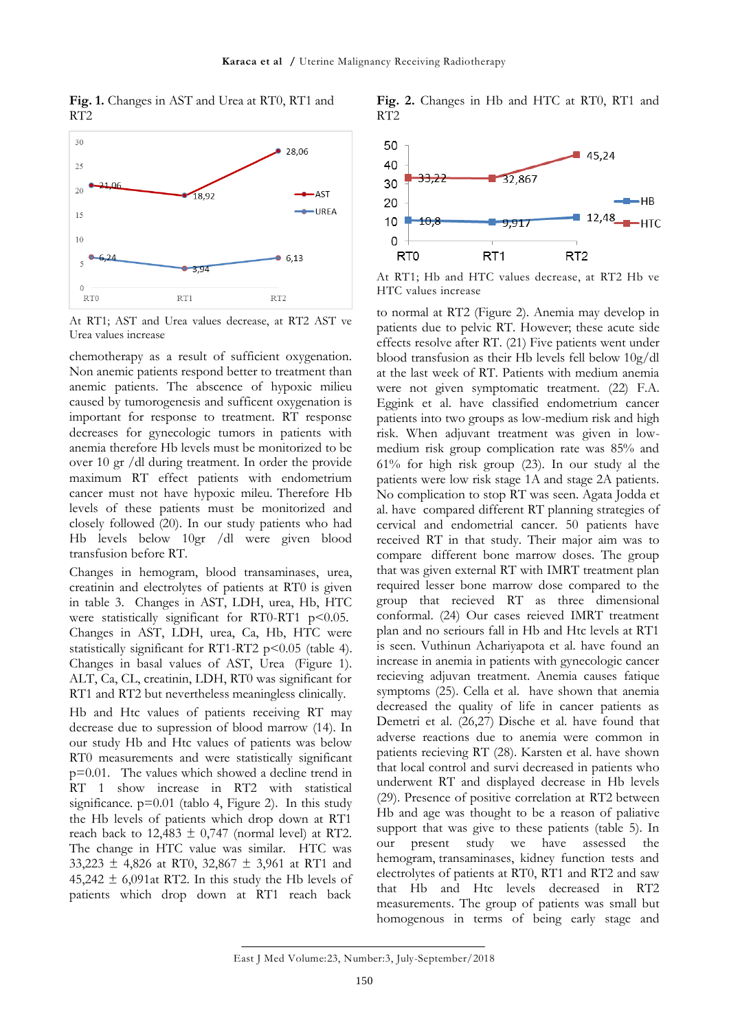**Fig. 1.** Changes in AST and Urea at RT0, RT1 and RT2



At RT1; AST and Urea values decrease, at RT2 AST ve Urea values increase

chemotherapy as a result of sufficient oxygenation. Non anemic patients respond better to treatment than anemic patients. The abscence of hypoxic milieu caused by tumorogenesis and sufficent oxygenation is important for response to treatment. RT response decreases for gynecologic tumors in patients with anemia therefore Hb levels must be monitorized to be over 10 gr /dl during treatment. In order the provide maximum RT effect patients with endometrium cancer must not have hypoxic mileu. Therefore Hb levels of these patients must be monitorized and closely followed (20). In our study patients who had Hb levels below 10gr /dl were given blood transfusion before RT.

Changes in hemogram, blood transaminases, urea, creatinin and electrolytes of patients at RT0 is given in table 3. Changes in AST, LDH, urea, Hb, HTC were statistically significant for RT0-RT1  $p<0.05$ . Changes in AST, LDH, urea, Ca, Hb, HTC were statistically significant for RT1-RT2  $p<0.05$  (table 4). Changes in basal values of AST, Urea (Figure 1). ALT, Ca, CL, creatinin, LDH, RT0 was significant for RT1 and RT2 but nevertheless meaningless clinically.

Hb and Htc values of patients receiving RT may decrease due to supression of blood marrow (14). In our study Hb and Htc values of patients was below RT0 measurements and were statistically significant p=0.01. The values which showed a decline trend in RT 1 show increase in RT2 with statistical significance.  $p=0.01$  (tablo 4, Figure 2). In this study the Hb levels of patients which drop down at RT1 reach back to  $12,483 \pm 0,747$  (normal level) at RT2. The change in HTC value was similar. HTC was 33,223  $\pm$  4,826 at RT0, 32,867  $\pm$  3,961 at RT1 and 45,242  $\pm$  6,091at RT2. In this study the Hb levels of patients which drop down at RT1 reach back

**Fig. 2.** Changes in Hb and HTC at RT0, RT1 and RT2



At RT1; Hb and HTC values decrease, at RT2 Hb ve HTC values increase

to normal at RT2 (Figure 2). Anemia may develop in patients due to pelvic RT. However; these acute side effects resolve after RT. (21) Five patients went under blood transfusion as their Hb levels fell below 10g/dl at the last week of RT. Patients with medium anemia were not given symptomatic treatment. (22) F.A. Eggink et al. have classified endometrium cancer patients into two groups as low-medium risk and high risk. When adjuvant treatment was given in lowmedium risk group complication rate was 85% and 61% for high risk group (23). In our study al the patients were low risk stage 1A and stage 2A patients. No complication to stop RT was seen. Agata Jodda et al. have compared different RT planning strategies of cervical and endometrial cancer. 50 patients have received RT in that study. Their major aim was to compare different bone marrow doses. The group that was given external RT with IMRT treatment plan required lesser bone marrow dose compared to the group that recieved RT as three dimensional conformal. (24) Our cases reieved IMRT treatment plan and no seriours fall in Hb and Htc levels at RT1 is seen. Vuthinun Achariyapota et al. have found an increase in anemia in patients with gynecologic cancer recieving adjuvan treatment. Anemia causes fatique symptoms (25). Cella et al. have shown that anemia decreased the quality of life in cancer patients as Demetri et al. (26,27) Dische et al. have found that adverse reactions due to anemia were common in patients recieving RT (28). Karsten et al. have shown that local control and survi decreased in patients who underwent RT and displayed decrease in Hb levels (29). Presence of positive correlation at RT2 between Hb and age was thought to be a reason of paliative support that was give to these patients (table 5). In our present study we have assessed the hemogram, transaminases, kidney function tests and electrolytes of patients at RT0, RT1 and RT2 and saw that Hb and Htc levels decreased in RT2 measurements. The group of patients was small but homogenous in terms of being early stage and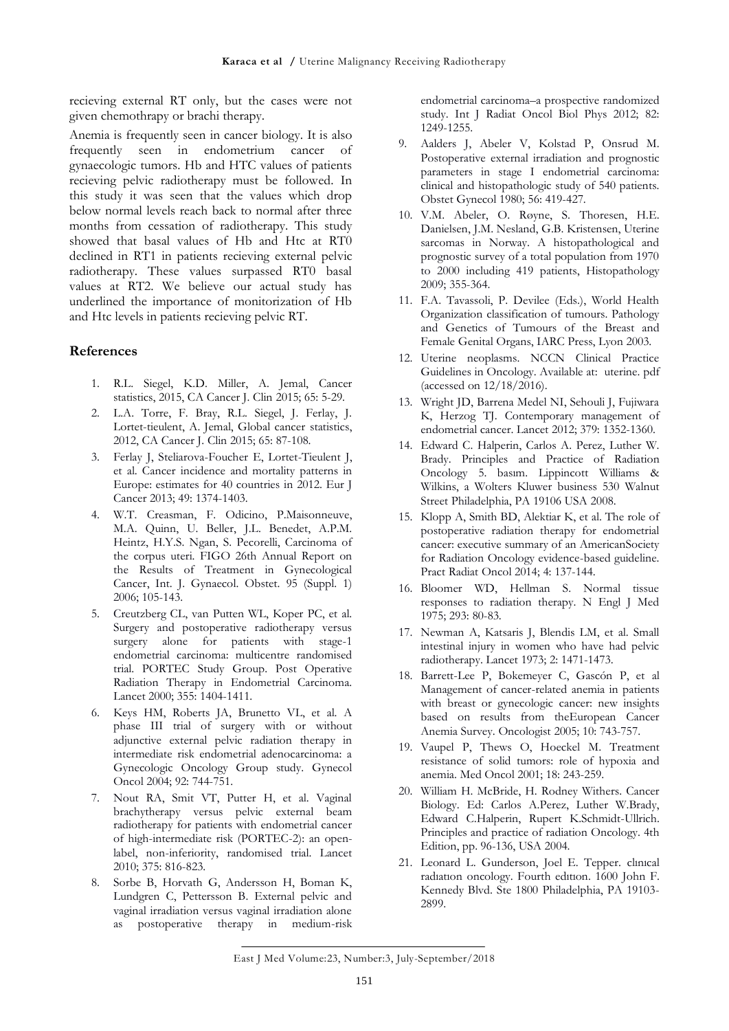recieving external RT only, but the cases were not given chemothrapy or brachi therapy.

Anemia is frequently seen in cancer biology. It is also frequently seen in endometrium cancer of gynaecologic tumors. Hb and HTC values of patients recieving pelvic radiotherapy must be followed. In this study it was seen that the values which drop below normal levels reach back to normal after three months from cessation of radiotherapy. This study showed that basal values of Hb and Htc at RT0 declined in RT1 in patients recieving external pelvic radiotherapy. These values surpassed RT0 basal values at RT2. We believe our actual study has underlined the importance of monitorization of Hb and Htc levels in patients recieving pelvic RT.

#### **References**

- 1. R.L. Siegel, K.D. Miller, A. Jemal, Cancer statistics, 2015, CA Cancer J. Clin 2015; 65: 5-29.
- 2. L.A. Torre, F. Bray, R.L. Siegel, J. Ferlay, J. Lortet-tieulent, A. Jemal, Global cancer statistics, 2012, CA Cancer J. Clin 2015; 65: 87-108.
- 3. Ferlay J, Steliarova-Foucher E, Lortet-Tieulent J, et al. Cancer incidence and mortality patterns in Europe: estimates for 40 countries in 2012. Eur J Cancer 2013; 49: 1374-1403.
- W.T. Creasman, F. Odicino, P.Maisonneuve, M.A. Quinn, U. Beller, J.L. Benedet, A.P.M. Heintz, H.Y.S. Ngan, S. Pecorelli, Carcinoma of the corpus uteri. FIGO 26th Annual Report on the Results of Treatment in Gynecological Cancer, Int. J. Gynaecol. Obstet. 95 (Suppl. 1) 2006; 105-143.
- 5. Creutzberg CL, van Putten WL, Koper PC, et al. Surgery and postoperative radiotherapy versus surgery alone for patients with stage-1 endometrial carcinoma: multicentre randomised trial. PORTEC Study Group. Post Operative Radiation Therapy in Endometrial Carcinoma. Lancet 2000; 355: 1404-1411.
- 6. Keys HM, Roberts JA, Brunetto VL, et al. A phase III trial of surgery with or without adjunctive external pelvic radiation therapy in intermediate risk endometrial adenocarcinoma: a Gynecologic Oncology Group study. Gynecol Oncol 2004; 92: 744-751.
- 7. Nout RA, Smit VT, Putter H, et al. Vaginal brachytherapy versus pelvic external beam radiotherapy for patients with endometrial cancer of high-intermediate risk (PORTEC-2): an openlabel, non-inferiority, randomised trial. Lancet 2010; 375: 816-823.
- Sorbe B, Horvath G, Andersson H, Boman K, Lundgren C, Pettersson B. External pelvic and vaginal irradiation versus vaginal irradiation alone as postoperative therapy in medium-risk

endometrial carcinoma–a prospective randomized study. Int J Radiat Oncol Biol Phys 2012; 82: 1249-1255.

- 9. Aalders J, Abeler V, Kolstad P, Onsrud M. Postoperative external irradiation and prognostic parameters in stage I endometrial carcinoma: clinical and histopathologic study of 540 patients. Obstet Gynecol 1980; 56: 419-427.
- 10. V.M. Abeler, O. Røyne, S. Thoresen, H.E. Danielsen, J.M. Nesland, G.B. Kristensen, Uterine sarcomas in Norway. A histopathological and prognostic survey of a total population from 1970 to 2000 including 419 patients, Histopathology 2009; 355-364.
- 11. F.A. Tavassoli, P. Devilee (Eds.), World Health Organization classification of tumours. Pathology and Genetics of Tumours of the Breast and Female Genital Organs, IARC Press, Lyon 2003.
- 12. Uterine neoplasms. NCCN Clinical Practice Guidelines in Oncology. Available at: uterine. pdf (accessed on 12/18/2016).
- 13. Wright JD, Barrena Medel NI, Sehouli J, Fujiwara K, Herzog TJ. Contemporary management of endometrial cancer. Lancet 2012; 379: 1352-1360.
- 14. Edward C. Halperin, Carlos A. Perez, Luther W. Brady. Principles and Practice of Radiation Oncology 5. basım. Lippincott Williams & Wilkins, a Wolters Kluwer business 530 Walnut Street Philadelphia, PA 19106 USA 2008.
- 15. Klopp A, Smith BD, Alektiar K, et al. The role of postoperative radiation therapy for endometrial cancer: executive summary of an AmericanSociety for Radiation Oncology evidence-based guideline. Pract Radiat Oncol 2014; 4: 137-144.
- 16. Bloomer WD, Hellman S. Normal tissue responses to radiation therapy. N Engl J Med 1975; 293: 80-83.
- 17. Newman A, Katsaris J, Blendis LM, et al. Small intestinal injury in women who have had pelvic radiotherapy. Lancet 1973; 2: 1471-1473.
- 18. Barrett-Lee P, Bokemeyer C, Gascón P, et al Management of cancer-related anemia in patients with breast or gynecologic cancer: new insights based on results from theEuropean Cancer Anemia Survey. Oncologist 2005; 10: 743-757.
- 19. Vaupel P, Thews O, Hoeckel M. Treatment resistance of solid tumors: role of hypoxia and anemia. Med Oncol 2001; 18: 243-259.
- 20. William H. McBride, H. Rodney Withers. Cancer Biology. Ed: Carlos A.Perez, Luther W.Brady, Edward C.Halperin, Rupert K.Schmidt-Ullrich. Principles and practice of radiation Oncology. 4th Edition, pp. 96-136, USA 2004.
- 21. Leonard L. Gunderson, Joel E. Tepper. clınıcal radıatıon oncology. Fourth edıtıon. 1600 John F. Kennedy Blvd. Ste 1800 Philadelphia, PA 19103- 2899.

East J Med Volume:23, Number:3, July-September/2018